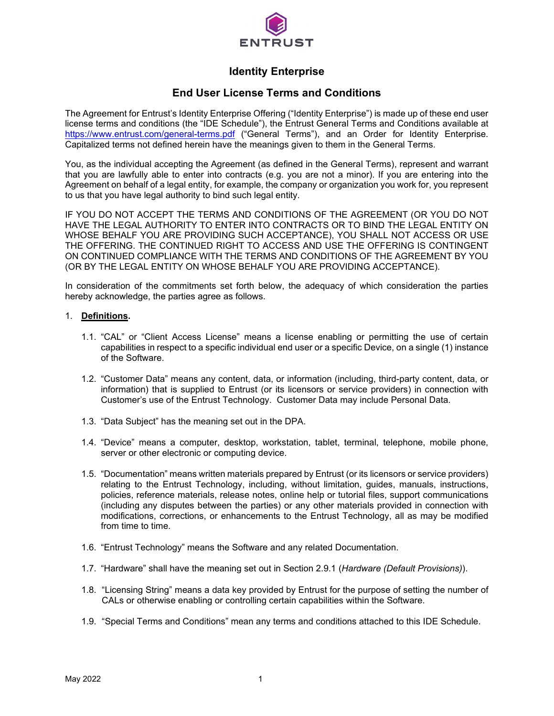

# **Identity Enterprise**

# **End User License Terms and Conditions**

The Agreement for Entrust's Identity Enterprise Offering ("Identity Enterprise") is made up of these end user license terms and conditions (the "IDE Schedule"), the Entrust General Terms and Conditions available at <https://www.entrust.com/general-terms.pdf> ("General Terms"), and an Order for Identity Enterprise. Capitalized terms not defined herein have the meanings given to them in the General Terms.

You, as the individual accepting the Agreement (as defined in the General Terms), represent and warrant that you are lawfully able to enter into contracts (e.g. you are not a minor). If you are entering into the Agreement on behalf of a legal entity, for example, the company or organization you work for, you represent to us that you have legal authority to bind such legal entity.

IF YOU DO NOT ACCEPT THE TERMS AND CONDITIONS OF THE AGREEMENT (OR YOU DO NOT HAVE THE LEGAL AUTHORITY TO ENTER INTO CONTRACTS OR TO BIND THE LEGAL ENTITY ON WHOSE BEHALF YOU ARE PROVIDING SUCH ACCEPTANCE), YOU SHALL NOT ACCESS OR USE THE OFFERING. THE CONTINUED RIGHT TO ACCESS AND USE THE OFFERING IS CONTINGENT ON CONTINUED COMPLIANCE WITH THE TERMS AND CONDITIONS OF THE AGREEMENT BY YOU (OR BY THE LEGAL ENTITY ON WHOSE BEHALF YOU ARE PROVIDING ACCEPTANCE).

In consideration of the commitments set forth below, the adequacy of which consideration the parties hereby acknowledge, the parties agree as follows.

### 1. **Definitions.**

- 1.1. "CAL" or "Client Access License" means a license enabling or permitting the use of certain capabilities in respect to a specific individual end user or a specific Device, on a single (1) instance of the Software.
- 1.2. "Customer Data" means any content, data, or information (including, third-party content, data, or information) that is supplied to Entrust (or its licensors or service providers) in connection with Customer's use of the Entrust Technology. Customer Data may include Personal Data.
- 1.3. "Data Subject" has the meaning set out in the DPA.
- 1.4. "Device" means a computer, desktop, workstation, tablet, terminal, telephone, mobile phone, server or other electronic or computing device.
- 1.5. "Documentation" means written materials prepared by Entrust (or its licensors or service providers) relating to the Entrust Technology, including, without limitation, guides, manuals, instructions, policies, reference materials, release notes, online help or tutorial files, support communications (including any disputes between the parties) or any other materials provided in connection with modifications, corrections, or enhancements to the Entrust Technology, all as may be modified from time to time.
- 1.6. "Entrust Technology" means the Software and any related Documentation.
- 1.7. "Hardware" shall have the meaning set out in Section 2.9.1 (*Hardware (Default Provisions)*).
- 1.8. "Licensing String" means a data key provided by Entrust for the purpose of setting the number of CALs or otherwise enabling or controlling certain capabilities within the Software.
- 1.9. "Special Terms and Conditions" mean any terms and conditions attached to this IDE Schedule.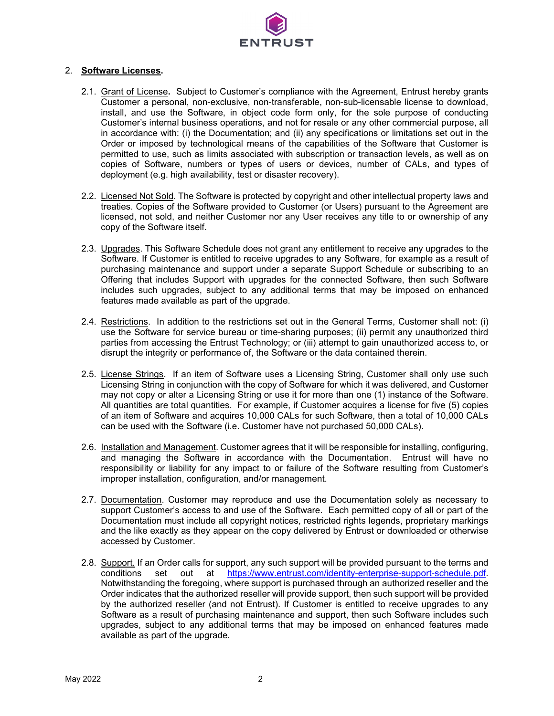

## 2. **Software Licenses.**

- 2.1. Grant of License**.** Subject to Customer's compliance with the Agreement, Entrust hereby grants Customer a personal, non-exclusive, non-transferable, non-sub-licensable license to download, install, and use the Software, in object code form only, for the sole purpose of conducting Customer's internal business operations, and not for resale or any other commercial purpose, all in accordance with: (i) the Documentation; and (ii) any specifications or limitations set out in the Order or imposed by technological means of the capabilities of the Software that Customer is permitted to use, such as limits associated with subscription or transaction levels, as well as on copies of Software, numbers or types of users or devices, number of CALs, and types of deployment (e.g. high availability, test or disaster recovery).
- 2.2. Licensed Not Sold. The Software is protected by copyright and other intellectual property laws and treaties. Copies of the Software provided to Customer (or Users) pursuant to the Agreement are licensed, not sold, and neither Customer nor any User receives any title to or ownership of any copy of the Software itself.
- 2.3. Upgrades. This Software Schedule does not grant any entitlement to receive any upgrades to the Software. If Customer is entitled to receive upgrades to any Software, for example as a result of purchasing maintenance and support under a separate Support Schedule or subscribing to an Offering that includes Support with upgrades for the connected Software, then such Software includes such upgrades, subject to any additional terms that may be imposed on enhanced features made available as part of the upgrade.
- 2.4. Restrictions. In addition to the restrictions set out in the General Terms, Customer shall not: (i) use the Software for service bureau or time-sharing purposes; (ii) permit any unauthorized third parties from accessing the Entrust Technology; or (iii) attempt to gain unauthorized access to, or disrupt the integrity or performance of, the Software or the data contained therein.
- 2.5. License Strings. If an item of Software uses a Licensing String, Customer shall only use such Licensing String in conjunction with the copy of Software for which it was delivered, and Customer may not copy or alter a Licensing String or use it for more than one (1) instance of the Software. All quantities are total quantities. For example, if Customer acquires a license for five (5) copies of an item of Software and acquires 10,000 CALs for such Software, then a total of 10,000 CALs can be used with the Software (i.e. Customer have not purchased 50,000 CALs).
- 2.6. Installation and Management. Customer agrees that it will be responsible for installing, configuring, and managing the Software in accordance with the Documentation. Entrust will have no responsibility or liability for any impact to or failure of the Software resulting from Customer's improper installation, configuration, and/or management.
- 2.7. Documentation. Customer may reproduce and use the Documentation solely as necessary to support Customer's access to and use of the Software. Each permitted copy of all or part of the Documentation must include all copyright notices, restricted rights legends, proprietary markings and the like exactly as they appear on the copy delivered by Entrust or downloaded or otherwise accessed by Customer.
- 2.8. Support. If an Order calls for support, any such support will be provided pursuant to the terms and conditions set out at [https://www.entrust.com/identity-enterprise-support-schedule.pdf.](https://www.entrust.com/identity-enterprise-support-schedule.pdf) Notwithstanding the foregoing, where support is purchased through an authorized reseller and the Order indicates that the authorized reseller will provide support, then such support will be provided by the authorized reseller (and not Entrust). If Customer is entitled to receive upgrades to any Software as a result of purchasing maintenance and support, then such Software includes such upgrades, subject to any additional terms that may be imposed on enhanced features made available as part of the upgrade.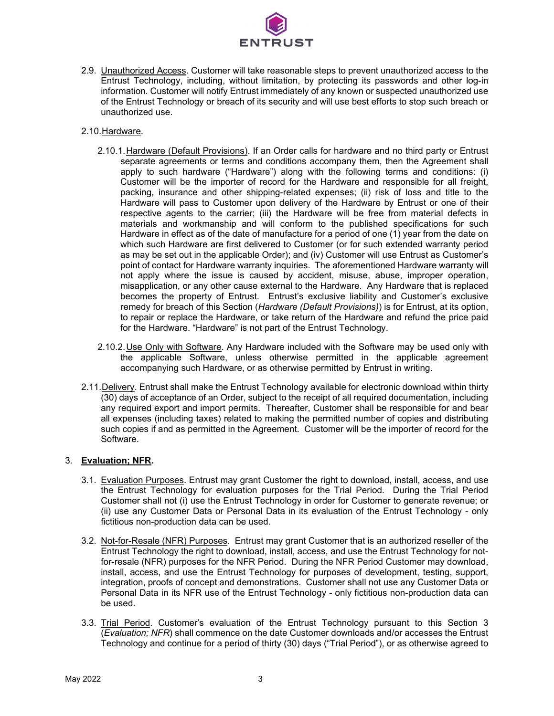

2.9. Unauthorized Access. Customer will take reasonable steps to prevent unauthorized access to the Entrust Technology, including, without limitation, by protecting its passwords and other log-in information. Customer will notify Entrust immediately of any known or suspected unauthorized use of the Entrust Technology or breach of its security and will use best efforts to stop such breach or unauthorized use.

#### 2.10.Hardware.

- 2.10.1.Hardware (Default Provisions). If an Order calls for hardware and no third party or Entrust separate agreements or terms and conditions accompany them, then the Agreement shall apply to such hardware ("Hardware") along with the following terms and conditions: (i) Customer will be the importer of record for the Hardware and responsible for all freight, packing, insurance and other shipping-related expenses; (ii) risk of loss and title to the Hardware will pass to Customer upon delivery of the Hardware by Entrust or one of their respective agents to the carrier; (iii) the Hardware will be free from material defects in materials and workmanship and will conform to the published specifications for such Hardware in effect as of the date of manufacture for a period of one (1) year from the date on which such Hardware are first delivered to Customer (or for such extended warranty period as may be set out in the applicable Order); and (iv) Customer will use Entrust as Customer's point of contact for Hardware warranty inquiries. The aforementioned Hardware warranty will not apply where the issue is caused by accident, misuse, abuse, improper operation, misapplication, or any other cause external to the Hardware. Any Hardware that is replaced becomes the property of Entrust. Entrust's exclusive liability and Customer's exclusive remedy for breach of this Section (*Hardware (Default Provisions)*) is for Entrust, at its option, to repair or replace the Hardware, or take return of the Hardware and refund the price paid for the Hardware. "Hardware" is not part of the Entrust Technology.
- 2.10.2.Use Only with Software. Any Hardware included with the Software may be used only with the applicable Software, unless otherwise permitted in the applicable agreement accompanying such Hardware, or as otherwise permitted by Entrust in writing.
- 2.11. Delivery. Entrust shall make the Entrust Technology available for electronic download within thirty (30) days of acceptance of an Order, subject to the receipt of all required documentation, including any required export and import permits. Thereafter, Customer shall be responsible for and bear all expenses (including taxes) related to making the permitted number of copies and distributing such copies if and as permitted in the Agreement. Customer will be the importer of record for the Software.

## 3. **Evaluation; NFR.**

- 3.1. Evaluation Purposes. Entrust may grant Customer the right to download, install, access, and use the Entrust Technology for evaluation purposes for the Trial Period. During the Trial Period Customer shall not (i) use the Entrust Technology in order for Customer to generate revenue; or (ii) use any Customer Data or Personal Data in its evaluation of the Entrust Technology - only fictitious non-production data can be used.
- 3.2. Not-for-Resale (NFR) Purposes. Entrust may grant Customer that is an authorized reseller of the Entrust Technology the right to download, install, access, and use the Entrust Technology for notfor-resale (NFR) purposes for the NFR Period. During the NFR Period Customer may download, install, access, and use the Entrust Technology for purposes of development, testing, support, integration, proofs of concept and demonstrations. Customer shall not use any Customer Data or Personal Data in its NFR use of the Entrust Technology - only fictitious non-production data can be used.
- 3.3. Trial Period. Customer's evaluation of the Entrust Technology pursuant to this Section 3 (*Evaluation; NFR*) shall commence on the date Customer downloads and/or accesses the Entrust Technology and continue for a period of thirty (30) days ("Trial Period"), or as otherwise agreed to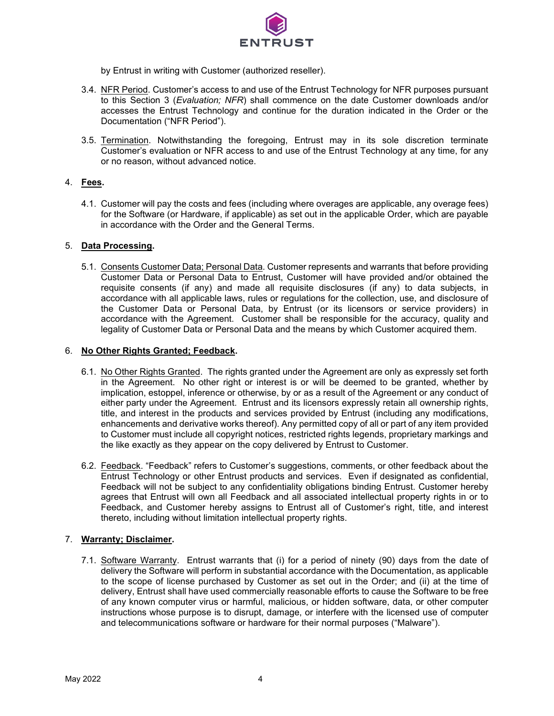

by Entrust in writing with Customer (authorized reseller).

- 3.4. NFR Period. Customer's access to and use of the Entrust Technology for NFR purposes pursuant to this Section 3 (*Evaluation; NFR*) shall commence on the date Customer downloads and/or accesses the Entrust Technology and continue for the duration indicated in the Order or the Documentation ("NFR Period").
- 3.5. Termination. Notwithstanding the foregoing, Entrust may in its sole discretion terminate Customer's evaluation or NFR access to and use of the Entrust Technology at any time, for any or no reason, without advanced notice.

#### 4. **Fees.**

4.1. Customer will pay the costs and fees (including where overages are applicable, any overage fees) for the Software (or Hardware, if applicable) as set out in the applicable Order, which are payable in accordance with the Order and the General Terms.

#### 5. **Data Processing.**

5.1. Consents Customer Data; Personal Data. Customer represents and warrants that before providing Customer Data or Personal Data to Entrust, Customer will have provided and/or obtained the requisite consents (if any) and made all requisite disclosures (if any) to data subjects, in accordance with all applicable laws, rules or regulations for the collection, use, and disclosure of the Customer Data or Personal Data, by Entrust (or its licensors or service providers) in accordance with the Agreement. Customer shall be responsible for the accuracy, quality and legality of Customer Data or Personal Data and the means by which Customer acquired them.

### 6. **No Other Rights Granted; Feedback.**

- 6.1. No Other Rights Granted. The rights granted under the Agreement are only as expressly set forth in the Agreement. No other right or interest is or will be deemed to be granted, whether by implication, estoppel, inference or otherwise, by or as a result of the Agreement or any conduct of either party under the Agreement. Entrust and its licensors expressly retain all ownership rights, title, and interest in the products and services provided by Entrust (including any modifications, enhancements and derivative works thereof). Any permitted copy of all or part of any item provided to Customer must include all copyright notices, restricted rights legends, proprietary markings and the like exactly as they appear on the copy delivered by Entrust to Customer.
- 6.2. Feedback. "Feedback" refers to Customer's suggestions, comments, or other feedback about the Entrust Technology or other Entrust products and services. Even if designated as confidential, Feedback will not be subject to any confidentiality obligations binding Entrust. Customer hereby agrees that Entrust will own all Feedback and all associated intellectual property rights in or to Feedback, and Customer hereby assigns to Entrust all of Customer's right, title, and interest thereto, including without limitation intellectual property rights.

#### 7. **Warranty; Disclaimer.**

7.1. Software Warranty. Entrust warrants that (i) for a period of ninety (90) days from the date of delivery the Software will perform in substantial accordance with the Documentation, as applicable to the scope of license purchased by Customer as set out in the Order; and (ii) at the time of delivery, Entrust shall have used commercially reasonable efforts to cause the Software to be free of any known computer virus or harmful, malicious, or hidden software, data, or other computer instructions whose purpose is to disrupt, damage, or interfere with the licensed use of computer and telecommunications software or hardware for their normal purposes ("Malware").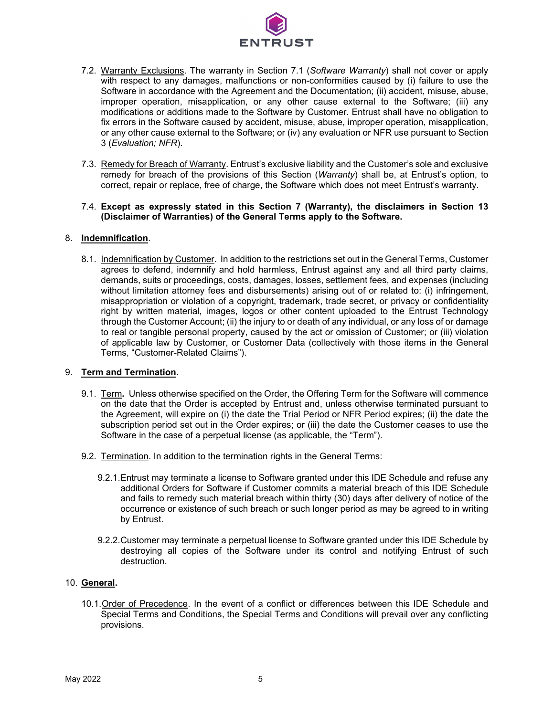

- 7.2. Warranty Exclusions. The warranty in Section 7.1 (*Software Warranty*) shall not cover or apply with respect to any damages, malfunctions or non-conformities caused by (i) failure to use the Software in accordance with the Agreement and the Documentation; (ii) accident, misuse, abuse, improper operation, misapplication, or any other cause external to the Software; (iii) any modifications or additions made to the Software by Customer. Entrust shall have no obligation to fix errors in the Software caused by accident, misuse, abuse, improper operation, misapplication, or any other cause external to the Software; or (iv) any evaluation or NFR use pursuant to Section 3 (*Evaluation; NFR*).
- 7.3. Remedy for Breach of Warranty. Entrust's exclusive liability and the Customer's sole and exclusive remedy for breach of the provisions of this Section (*Warranty*) shall be, at Entrust's option, to correct, repair or replace, free of charge, the Software which does not meet Entrust's warranty.

#### 7.4. **Except as expressly stated in this Section 7 (Warranty), the disclaimers in Section 13 (Disclaimer of Warranties) of the General Terms apply to the Software.**

#### 8. **Indemnification**.

8.1. Indemnification by Customer. In addition to the restrictions set out in the General Terms, Customer agrees to defend, indemnify and hold harmless, Entrust against any and all third party claims, demands, suits or proceedings, costs, damages, losses, settlement fees, and expenses (including without limitation attorney fees and disbursements) arising out of or related to: (i) infringement, misappropriation or violation of a copyright, trademark, trade secret, or privacy or confidentiality right by written material, images, logos or other content uploaded to the Entrust Technology through the Customer Account; (ii) the injury to or death of any individual, or any loss of or damage to real or tangible personal property, caused by the act or omission of Customer; or (iii) violation of applicable law by Customer, or Customer Data (collectively with those items in the General Terms, "Customer-Related Claims").

#### 9. **Term and Termination.**

- 9.1. Term**.** Unless otherwise specified on the Order, the Offering Term for the Software will commence on the date that the Order is accepted by Entrust and, unless otherwise terminated pursuant to the Agreement, will expire on (i) the date the Trial Period or NFR Period expires; (ii) the date the subscription period set out in the Order expires; or (iii) the date the Customer ceases to use the Software in the case of a perpetual license (as applicable, the "Term").
- 9.2. Termination. In addition to the termination rights in the General Terms:
	- 9.2.1.Entrust may terminate a license to Software granted under this IDE Schedule and refuse any additional Orders for Software if Customer commits a material breach of this IDE Schedule and fails to remedy such material breach within thirty (30) days after delivery of notice of the occurrence or existence of such breach or such longer period as may be agreed to in writing by Entrust.
	- 9.2.2.Customer may terminate a perpetual license to Software granted under this IDE Schedule by destroying all copies of the Software under its control and notifying Entrust of such destruction.

## 10. **General.**

10.1.Order of Precedence. In the event of a conflict or differences between this IDE Schedule and Special Terms and Conditions, the Special Terms and Conditions will prevail over any conflicting provisions.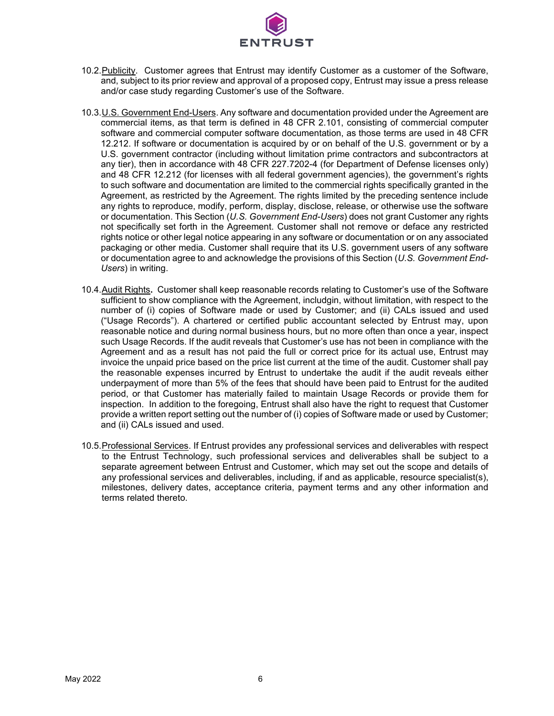

- 10.2.Publicity. Customer agrees that Entrust may identify Customer as a customer of the Software, and, subject to its prior review and approval of a proposed copy, Entrust may issue a press release and/or case study regarding Customer's use of the Software.
- 10.3.U.S. Government End-Users. Any software and documentation provided under the Agreement are commercial items, as that term is defined in 48 CFR 2.101, consisting of commercial computer software and commercial computer software documentation, as those terms are used in 48 CFR 12.212. If software or documentation is acquired by or on behalf of the U.S. government or by a U.S. government contractor (including without limitation prime contractors and subcontractors at any tier), then in accordance with 48 CFR 227.7202-4 (for Department of Defense licenses only) and 48 CFR 12.212 (for licenses with all federal government agencies), the government's rights to such software and documentation are limited to the commercial rights specifically granted in the Agreement, as restricted by the Agreement. The rights limited by the preceding sentence include any rights to reproduce, modify, perform, display, disclose, release, or otherwise use the software or documentation. This Section (*U.S. Government End-Users*) does not grant Customer any rights not specifically set forth in the Agreement. Customer shall not remove or deface any restricted rights notice or other legal notice appearing in any software or documentation or on any associated packaging or other media. Customer shall require that its U.S. government users of any software or documentation agree to and acknowledge the provisions of this Section (*U.S. Government End-Users*) in writing.
- 10.4.Audit Rights**.** Customer shall keep reasonable records relating to Customer's use of the Software sufficient to show compliance with the Agreement, includgin, without limitation, with respect to the number of (i) copies of Software made or used by Customer; and (ii) CALs issued and used ("Usage Records"). A chartered or certified public accountant selected by Entrust may, upon reasonable notice and during normal business hours, but no more often than once a year, inspect such Usage Records. If the audit reveals that Customer's use has not been in compliance with the Agreement and as a result has not paid the full or correct price for its actual use, Entrust may invoice the unpaid price based on the price list current at the time of the audit. Customer shall pay the reasonable expenses incurred by Entrust to undertake the audit if the audit reveals either underpayment of more than 5% of the fees that should have been paid to Entrust for the audited period, or that Customer has materially failed to maintain Usage Records or provide them for inspection. In addition to the foregoing, Entrust shall also have the right to request that Customer provide a written report setting out the number of (i) copies of Software made or used by Customer; and (ii) CALs issued and used.
- 10.5.Professional Services. If Entrust provides any professional services and deliverables with respect to the Entrust Technology, such professional services and deliverables shall be subject to a separate agreement between Entrust and Customer, which may set out the scope and details of any professional services and deliverables, including, if and as applicable, resource specialist(s), milestones, delivery dates, acceptance criteria, payment terms and any other information and terms related thereto.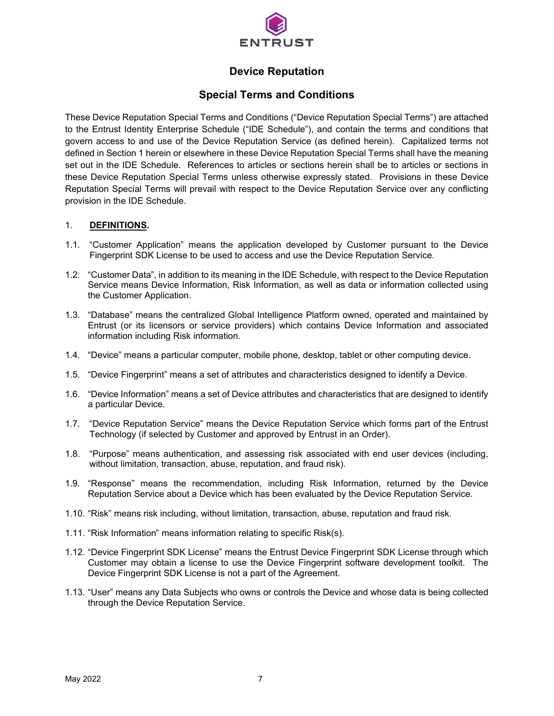

# **Device Reputation**

# **Special Terms and Conditions**

These Device Reputation Special Terms and Conditions ("Device Reputation Special Terms") are attached to the Entrust Identity Enterprise Schedule ("IDE Schedule"), and contain the terms and conditions that govern access to and use of the Device Reputation Service (as defined herein). Capitalized terms not defined in Section 1 herein or elsewhere in these Device Reputation Special Terms shall have the meaning set out in the IDE Schedule. References to articles or sections herein shall be to articles or sections in these Device Reputation Special Terms unless otherwise expressly stated. Provisions in these Device Reputation Special Terms will prevail with respect to the Device Reputation Service over any conflicting provision in the IDE Schedule.

#### 1. **DEFINITIONS.**

- 1.1. "Customer Application" means the application developed by Customer pursuant to the Device Fingerprint SDK License to be used to access and use the Device Reputation Service.
- 1.2. "Customer Data", in addition to its meaning in the IDE Schedule, with respect to the Device Reputation Service means Device Information, Risk Information, as well as data or information collected using the Customer Application.
- 1.3. "Database" means the centralized Global Intelligence Platform owned, operated and maintained by Entrust (or its licensors or service providers) which contains Device Information and associated information including Risk information.
- 1.4. "Device" means a particular computer, mobile phone, desktop, tablet or other computing device.
- 1.5. "Device Fingerprint" means a set of attributes and characteristics designed to identify a Device.
- 1.6. "Device Information" means a set of Device attributes and characteristics that are designed to identify a particular Device.
- 1.7. "Device Reputation Service" means the Device Reputation Service which forms part of the Entrust Technology (if selected by Customer and approved by Entrust in an Order).
- 1.8. "Purpose" means authentication, and assessing risk associated with end user devices (including, without limitation, transaction, abuse, reputation, and fraud risk).
- 1.9. "Response" means the recommendation, including Risk Information, returned by the Device Reputation Service about a Device which has been evaluated by the Device Reputation Service.
- 1.10. "Risk" means risk including, without limitation, transaction, abuse, reputation and fraud risk.
- 1.11. "Risk Information" means information relating to specific Risk(s).
- 1.12. "Device Fingerprint SDK License" means the Entrust Device Fingerprint SDK License through which Customer may obtain a license to use the Device Fingerprint software development toolkit. The Device Fingerprint SDK License is not a part of the Agreement.
- 1.13. "User" means any Data Subjects who owns or controls the Device and whose data is being collected through the Device Reputation Service.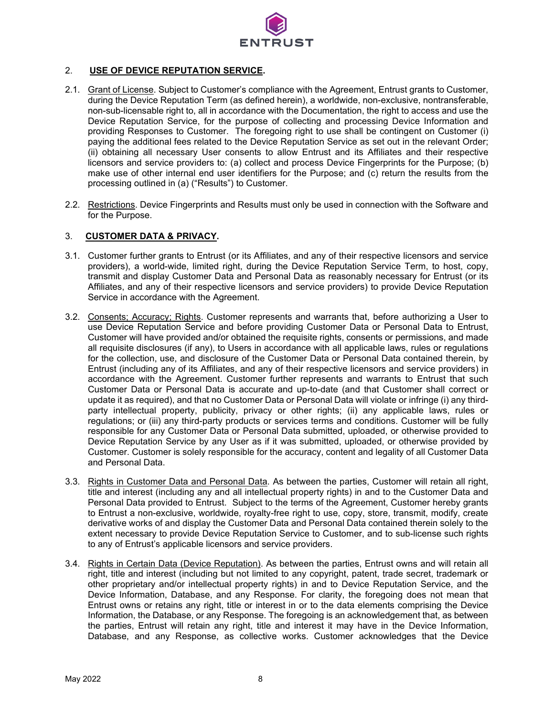

# 2. **USE OF DEVICE REPUTATION SERVICE.**

- 2.1. Grant of License. Subject to Customer's compliance with the Agreement, Entrust grants to Customer, during the Device Reputation Term (as defined herein), a worldwide, non-exclusive, nontransferable, non-sub-licensable right to, all in accordance with the Documentation, the right to access and use the Device Reputation Service, for the purpose of collecting and processing Device Information and providing Responses to Customer. The foregoing right to use shall be contingent on Customer (i) paying the additional fees related to the Device Reputation Service as set out in the relevant Order; (ii) obtaining all necessary User consents to allow Entrust and its Affiliates and their respective licensors and service providers to: (a) collect and process Device Fingerprints for the Purpose; (b) make use of other internal end user identifiers for the Purpose; and (c) return the results from the processing outlined in (a) ("Results") to Customer.
- 2.2. Restrictions. Device Fingerprints and Results must only be used in connection with the Software and for the Purpose.

### 3. **CUSTOMER DATA & PRIVACY.**

- 3.1. Customer further grants to Entrust (or its Affiliates, and any of their respective licensors and service providers), a world-wide, limited right, during the Device Reputation Service Term, to host, copy, transmit and display Customer Data and Personal Data as reasonably necessary for Entrust (or its Affiliates, and any of their respective licensors and service providers) to provide Device Reputation Service in accordance with the Agreement.
- 3.2. Consents; Accuracy; Rights. Customer represents and warrants that, before authorizing a User to use Device Reputation Service and before providing Customer Data or Personal Data to Entrust, Customer will have provided and/or obtained the requisite rights, consents or permissions, and made all requisite disclosures (if any), to Users in accordance with all applicable laws, rules or regulations for the collection, use, and disclosure of the Customer Data or Personal Data contained therein, by Entrust (including any of its Affiliates, and any of their respective licensors and service providers) in accordance with the Agreement. Customer further represents and warrants to Entrust that such Customer Data or Personal Data is accurate and up-to-date (and that Customer shall correct or update it as required), and that no Customer Data or Personal Data will violate or infringe (i) any thirdparty intellectual property, publicity, privacy or other rights; (ii) any applicable laws, rules or regulations; or (iii) any third-party products or services terms and conditions. Customer will be fully responsible for any Customer Data or Personal Data submitted, uploaded, or otherwise provided to Device Reputation Service by any User as if it was submitted, uploaded, or otherwise provided by Customer. Customer is solely responsible for the accuracy, content and legality of all Customer Data and Personal Data.
- 3.3. Rights in Customer Data and Personal Data. As between the parties, Customer will retain all right, title and interest (including any and all intellectual property rights) in and to the Customer Data and Personal Data provided to Entrust. Subject to the terms of the Agreement, Customer hereby grants to Entrust a non-exclusive, worldwide, royalty-free right to use, copy, store, transmit, modify, create derivative works of and display the Customer Data and Personal Data contained therein solely to the extent necessary to provide Device Reputation Service to Customer, and to sub-license such rights to any of Entrust's applicable licensors and service providers.
- 3.4. Rights in Certain Data (Device Reputation). As between the parties, Entrust owns and will retain all right, title and interest (including but not limited to any copyright, patent, trade secret, trademark or other proprietary and/or intellectual property rights) in and to Device Reputation Service, and the Device Information, Database, and any Response. For clarity, the foregoing does not mean that Entrust owns or retains any right, title or interest in or to the data elements comprising the Device Information, the Database, or any Response. The foregoing is an acknowledgement that, as between the parties, Entrust will retain any right, title and interest it may have in the Device Information, Database, and any Response, as collective works. Customer acknowledges that the Device